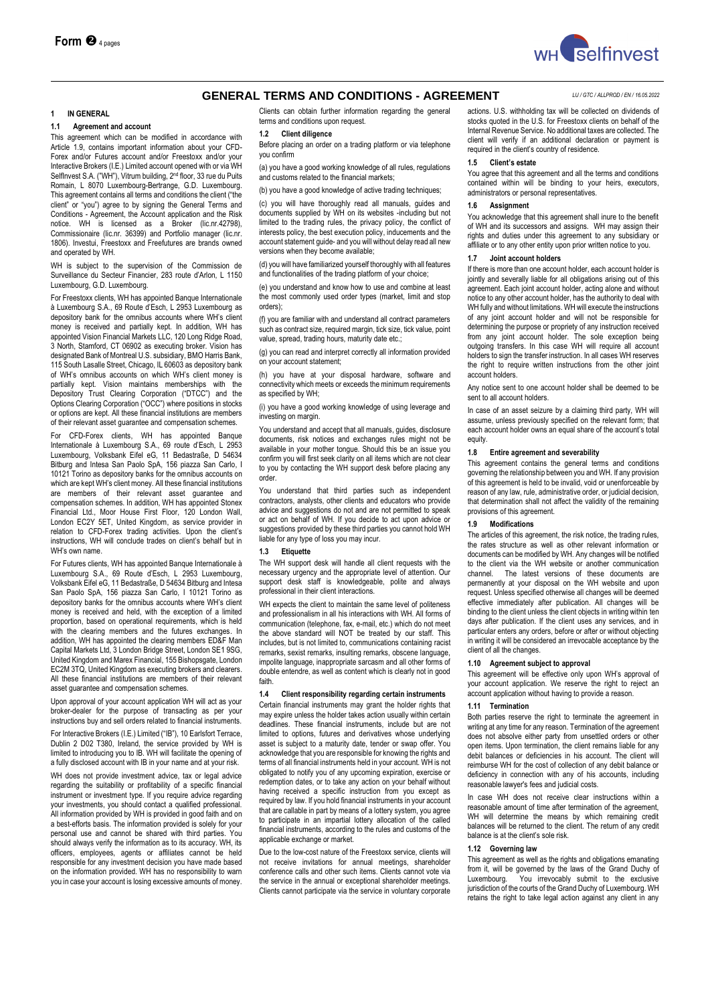

# **1 IN GENERAL**

## **1.1 Agreement and account**

This agreement which can be modified in accordance with Article 1.9, contains important information about your CFD-Forex and/or Futures account and/or Freestoxx and/or your Interactive Brokers (I.E.) Limited account opened with or via WH SelfInvest S.A. ("WH"), Vitrum building, 2<sup>nd</sup> floor, 33 rue du Puits Romain, L 8070 Luxembourg-Bertrange, G.D. Luxembourg. This agreement contains all terms and conditions the client ("the client" or "you") agree to by signing the General Terms and Conditions - Agreement, the Account application and the Risk notice. WH is licensed as a Broker (lic.nr.42798), Commissionaire (lic.nr. 36399) and Portfolio manager (lic.nr. 1806). Investui, Freestoxx and Freefutures are brands owned and operated by WH.

WH is subject to the supervision of the Commission de Surveillance du Secteur Financier, 283 route d'Arlon, L 1150 Luxembourg, G.D. Luxembourg.

For Freestoxx clients, WH has appointed Banque Internationale à Luxembourg S.A., 69 Route d'Esch, L 2953 Luxembourg as depository bank for the omnibus accounts where WH's client money is received and partially kept. In addition, WH has appointed Vision Financial Markets LLC, 120 Long Ridge Road, 3 North, Stamford, CT 06902 as executing broker. Vision has designated Bank of Montreal U.S. subsidiary, BMO Harris Bank, 115 South Lasalle Street, Chicago, IL 60603 as depository bank of WH's omnibus accounts on which WH's client money is partially kept. Vision maintains memberships with the Depository Trust Clearing Corporation ("DTCC") and the Options Clearing Corporation ("OCC") where positions in stocks or options are kept. All these financial institutions are members of their relevant asset guarantee and compensation schemes.

For CFD-Forex clients, WH has appointed Banque Internationale à Luxembourg S.A., 69 route d'Esch, L 2953 Luxembourg, Volksbank Eifel eG, 11 Bedastraße, D 54634 Bitburg and Intesa San Paolo SpA, 156 piazza San Carlo, I 10121 Torino as depository banks for the omnibus accounts on which are kept WH's client money. All these financial institutions are members of their relevant asset guarantee and compensation schemes. In addition, WH has appointed Stonex Financial Ltd., Moor House First Floor, 120 London Wall, London EC2Y 5ET, United Kingdom, as service provider in relation to CFD-Forex trading activities. Upon the client's instructions, WH will conclude trades on client's behalf but in WH's own name.

For Futures clients, WH has appointed Banque Internationale à Luxembourg S.A., 69 Route d'Esch, L 2953 Luxembourg, Volksbank Eifel eG, 11 Bedastraße, D 54634 Bitburg and Intesa San Paolo SpA, 156 piazza San Carlo, I 10121 Torino as depository banks for the omnibus accounts where WH's client money is received and held, with the exception of a limited proportion, based on operational requirements, which is held with the clearing members and the futures exchanges. In addition, WH has appointed the clearing members ED&F Man Capital Markets Ltd, 3 London Bridge Street, London SE1 9SG, United Kingdom and Marex Financial, 155 Bishopsgate, London EC2M 3TQ, United Kingdom as executing brokers and clearers. All these financial institutions are members of their relevant asset guarantee and compensation schemes.

Upon approval of your account application WH will act as your broker-dealer for the purpose of transacting as per your instructions buy and sell orders related to financial instruments. For Interactive Brokers (I.E.) Limited ("IB"), 10 Earlsfort Terrace, Dublin 2 D02 T380, Ireland, the service provided by WH is

limited to introducing you to IB. WH will facilitate the opening of a fully disclosed account with IB in your name and at your risk.

WH does not provide investment advice, tax or legal advice regarding the suitability or profitability of a specific financial instrument or investment type. If you require advice regarding your investments, you should contact a qualified professional. All information provided by WH is provided in good faith and on a best-efforts basis. The information provided is solely for your personal use and cannot be shared with third parties. You should always verify the information as to its accuracy. WH, its officers, employees, agents or affiliates cannot be held responsible for any investment decision you have made based on the information provided. WH has no responsibility to warn you in case your account is losing excessive amounts of money.

Clients can obtain further information regarding the general terms and conditions upon request.

#### **1.2 Client diligence**

Before placing an order on a trading platform or via telephone you confirm

(a) you have a good working knowledge of all rules, regulations and customs related to the financial markets;

(b) you have a good knowledge of active trading techniques;

(c) you will have thoroughly read all manuals, guides and documents supplied by WH on its websites -including but not limited to the trading rules, the privacy policy, the conflict of interests policy, the best execution policy, inducements and the account statement guide- and you will without delay read all new versions when they become available;

(d) you will have familiarized yourself thoroughly with all features and functionalities of the trading platform of your choice;

(e) you understand and know how to use and combine at least the most commonly used order types (market, limit and stop orders);

(f) you are familiar with and understand all contract parameters such as contract size, required margin, tick size, tick value, point value, spread, trading hours, maturity date etc.

(g) you can read and interpret correctly all information provided on your account statement;

(h) you have at your disposal hardware, software and connectivity which meets or exceeds the minimum requirements as specified by WH;

(i) you have a good working knowledge of using leverage and investing on margin.

You understand and accept that all manuals, guides, disclosure documents, risk notices and exchanges rules might not be available in your mother tongue. Should this be an issue you confirm you will first seek clarity on all items which are not clear to you by contacting the WH support desk before placing any order.

You understand that third parties such as independent contractors, analysts, other clients and educators who provide advice and suggestions do not and are not permitted to speak or act on behalf of WH. If you decide to act upon advice or suggestions provided by these third parties you cannot hold WH liable for any type of loss you may incur.

#### **1.3 Etiquette**

The WH support desk will handle all client requests with the necessary urgency and the appropriate level of attention. Our support desk staff is knowledgeable, polite and always professional in their client interactions.

WH expects the client to maintain the same level of politeness and professionalism in all his interactions with WH. All forms of communication (telephone, fax, e-mail, etc.) which do not meet the above standard will NOT be treated by our staff. This includes, but is not limited to, communications containing racist remarks, sexist remarks, insulting remarks, obscene language, impolite language, inappropriate sarcasm and all other forms of double entendre, as well as content which is clearly not in good faith.

## **1.4 Client responsibility regarding certain instruments**

Certain financial instruments may grant the holder rights that may expire unless the holder takes action usually within certain deadlines. These financial instruments, include but are not limited to options, futures and derivatives whose underlying asset is subject to a maturity date, tender or swap offer. You acknowledge that you are responsible for knowing the rights and terms of all financial instruments held in your account. WH is not obligated to notify you of any upcoming expiration, exercise or redemption dates, or to take any action on your behalf without having received a specific instruction from you except as required by law. If you hold financial instruments in your account that are callable in part by means of a lottery system, you agree to participate in an impartial lottery allocation of the called financial instruments, according to the rules and customs of the applicable exchange or market.

Due to the low-cost nature of the Freestoxx service, clients will not receive invitations for annual meetings, shareholder conference calls and other such items. Clients cannot vote via the service in the annual or exceptional shareholder meetings. Clients cannot participate via the service in voluntary corporate

actions. U.S. withholding tax will be collected on dividends of stocks quoted in the U.S. for Freestoxx clients on behalf of the Internal Revenue Service. No additional taxes are collected. The client will verify if an additional declaration or payment is required in the client's country of residence.

## **1.5 Client's estate**

You agree that this agreement and all the terms and conditions contained within will be binding to your heirs, executors, administrators or personal representatives.

#### **1.6 Assignment**

You acknowledge that this agreement shall inure to the benefit of WH and its successors and assigns. WH may assign their rights and duties under this agreement to any subsidiary or affiliate or to any other entity upon prior written notice to you.

#### **1.7 Joint account holders**

If there is more than one account holder, each account holder is jointly and severally liable for all obligations arising out of this agreement. Each joint account holder, acting alone and without notice to any other account holder, has the authority to deal with WH fully and without limitations. WH will execute the instructions of any joint account holder and will not be responsible for determining the purpose or propriety of any instruction received from any joint account holder. The sole exception being outgoing transfers. In this case WH will require all account holders to sign the transfer instruction. In all cases WH reserves the right to require written instructions from the other joint account holders.

Any notice sent to one account holder shall be deemed to be sent to all account holders.

In case of an asset seizure by a claiming third party, WH will assume, unless previously specified on the relevant form; that each account holder owns an equal share of the account's total equity.

# **1.8 Entire agreement and severability**

This agreement contains the general terms and conditions governing the relationship between you and WH. If any provision of this agreement is held to be invalid, void or unenforceable by reason of any law, rule, administrative order, or judicial decision, that determination shall not affect the validity of the remaining provisions of this agreement.

## **1.9 Modifications**

The articles of this agreement, the risk notice, the trading rules, the rates structure as well as other relevant information or documents can be modified by WH. Any changes will be notified to the client via the WH website or another communication channel. The latest versions of these documents are permanently at your disposal on the WH website and upon request. Unless specified otherwise all changes will be deemed effective immediately after publication. All changes will be binding to the client unless the client objects in writing within ten days after publication. If the client uses any services, and in particular enters any orders, before or after or without objecting in writing it will be considered an irrevocable acceptance by the client of all the changes.

## **1.10 Agreement subject to approval**

This agreement will be effective only upon WH's approval of your account application. We reserve the right to reject an account application without having to provide a reason.

#### **1.11 Termination**

Both parties reserve the right to terminate the agreement in writing at any time for any reason. Termination of the agreement does not absolve either party from unsettled orders or other open items. Upon termination, the client remains liable for any debit balances or deficiencies in his account. The client will reimburse WH for the cost of collection of any debit balance or deficiency in connection with any of his accounts, including reasonable lawyer's fees and judicial costs.

In case WH does not receive clear instructions within a reasonable amount of time after termination of the agreement, WH will determine the means by which remaining credit balances will be returned to the client. The return of any credit balance is at the client's sole risk.

#### **1.12 Governing law**

This agreement as well as the rights and obligations emanating from it, will be governed by the laws of the Grand Duchy of Luxembourg. You irrevocably submit to the exclusive You irrevocably submit to the exclusive jurisdiction of the courts of the Grand Duchy of Luxembourg. WH retains the right to take legal action against any client in any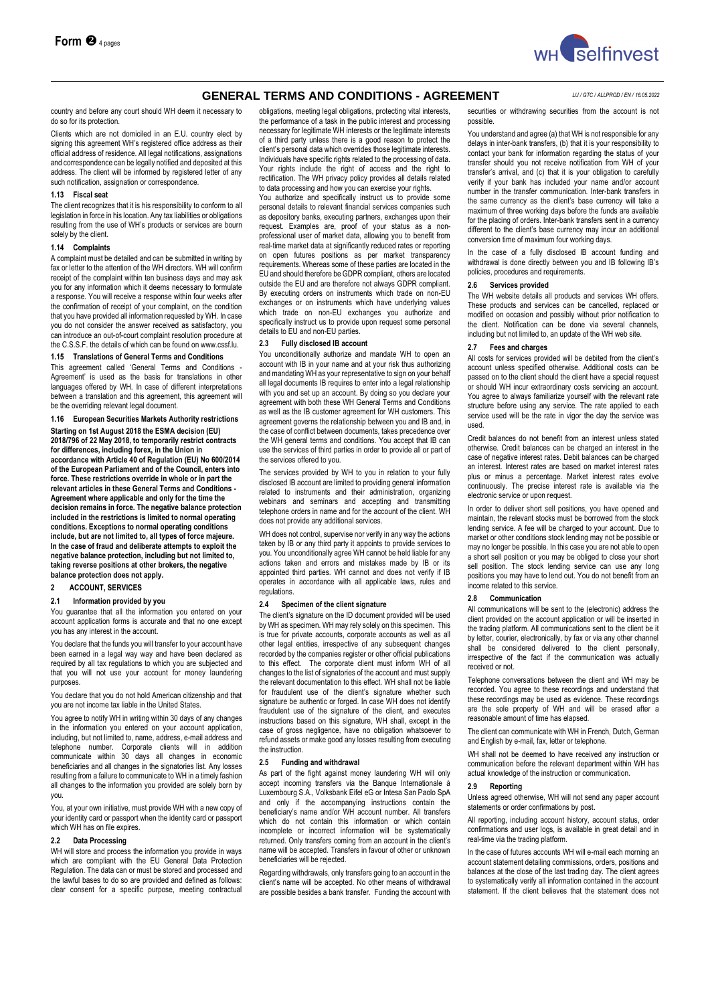

country and before any court should WH deem it necessary to do so for its protection.

Clients which are not domiciled in an E.U. country elect by signing this agreement WH's registered office address as their official address of residence. All legal notifications, assignations and correspondence can be legally notified and deposited at this address. The client will be informed by registered letter of any such notification, assignation or correspondence.

#### **1.13 Fiscal seat**

The client recognizes that it is his responsibility to conform to all legislation in force in his location. Any tax liabilities or obligations resulting from the use of WH's products or services are bourn solely by the client.

#### **1.14 Complaints**

A complaint must be detailed and can be submitted in writing by fax or letter to the attention of the WH directors. WH will confirm receipt of the complaint within ten business days and may ask you for any information which it deems necessary to formulate a response. You will receive a response within four weeks after the confirmation of receipt of your complaint, on the condition that you have provided all information requested by WH. In case you do not consider the answer received as satisfactory, you can introduce an out-of-court complaint resolution procedure at the C.S.S.F. the details of which can be found on www.cssf.lu.

#### **1.15 Translations of General Terms and Conditions**

This agreement called 'General Terms and Conditions - Agreement' is used as the basis for translations in other languages offered by WH. In case of different interpretations between a translation and this agreement, this agreement will be the overriding relevant legal document.

**1.16 European Securities Markets Authority restrictions Starting on 1st August 2018 the ESMA decision (EU) 2018/796 of 22 May 2018, to temporarily restrict contracts for differences, including forex, in the Union in accordance with Article 40 of Regulation (EU) No 600/2014 of the European Parliament and of the Council, enters into force. These restrictions override in whole or in part the relevant articles in these General Terms and Conditions - Agreement where applicable and only for the time the decision remains in force. The negative balance protection included in the restrictions is limited to normal operating conditions. Exceptions to normal operating conditions include, but are not limited to, all types of force majeure. In the case of fraud and deliberate attempts to exploit the negative balance protection, including but not limited to, taking reverse positions at other brokers, the negative balance protection does not apply.** 

## **2 ACCOUNT, SERVICES**

## **2.1 Information provided by you**

You guarantee that all the information you entered on your account application forms is accurate and that no one except you has any interest in the account.

You declare that the funds you will transfer to your account have been earned in a legal way way and have been declared as required by all tax regulations to which you are subjected and that you will not use your account for money laundering purposes.

You declare that you do not hold American citizenship and that you are not income tax liable in the United States.

You agree to notify WH in writing within 30 days of any changes in the information you entered on your account application, including, but not limited to, name, address, e-mail address and telephone number. Corporate clients will in addition communicate within 30 days all changes in economic beneficiaries and all changes in the signatories list. Any losses resulting from a failure to communicate to WH in a timely fashion all changes to the information you provided are solely born by you.

You, at your own initiative, must provide WH with a new copy of your identity card or passport when the identity card or passport which WH has on file expires.

# **2.2 Data Processing**

WH will store and process the information you provide in ways which are compliant with the EU General Data Protection Regulation. The data can or must be stored and processed and the lawful bases to do so are provided and defined as follows: clear consent for a specific purpose, meeting contractual

obligations, meeting legal obligations, protecting vital interests, the performance of a task in the public interest and processing necessary for legitimate WH interests or the legitimate interests of a third party unless there is a good reason to protect the client's personal data which overrides those legitimate interests. Individuals have specific rights related to the processing of data. Your rights include the right of access and the right to rectification. The WH privacy policy provides all details related to data processing and how you can exercise your rights.

You authorize and specifically instruct us to provide some personal details to relevant financial services companies such as depository banks, executing partners, exchanges upon their request. Examples are, proof of your status as a nonprofessional user of market data, allowing you to benefit from real-time market data at significantly reduced rates or reporting on open futures positions as per market transparency requirements. Whereas some of these parties are located in the EU and should therefore be GDPR compliant, others are located outside the EU and are therefore not always GDPR compliant. By executing orders on instruments which trade on non-EU exchanges or on instruments which have underlying values which trade on non-EU exchanges you authorize and specifically instruct us to provide upon request some personal details to EU and non-EU parties.

## **2.3 Fully disclosed IB account**

You unconditionally authorize and mandate WH to open an account with IB in your name and at your risk thus authorizing and mandating WH as your representative to sign on your behalf all legal documents IB requires to enter into a legal relationship with you and set up an account. By doing so you declare your agreement with both these WH General Terms and Conditions as well as the IB customer agreement for WH customers. This agreement governs the relationship between you and IB and, in the case of conflict between documents, takes precedence over the WH general terms and conditions. You accept that IB can use the services of third parties in order to provide all or part of the services offered to you.

The services provided by WH to you in relation to your fully disclosed IB account are limited to providing general information related to instruments and their administration, organizing webinars and seminars and accepting and transmitting telephone orders in name and for the account of the client. WH does not provide any additional services.

WH does not control, supervise nor verify in any way the actions taken by IB or any third party it appoints to provide services to you. You unconditionally agree WH cannot be held liable for any actions taken and errors and mistakes made by IB or its appointed third parties. WH cannot and does not verify if IB operates in accordance with all applicable laws, rules and regulations.

## **2.4 Specimen of the client signature**

The client's signature on the ID document provided will be used by WH as specimen. WH may rely solely on this specimen. This is true for private accounts, corporate accounts as well as all other legal entities, irrespective of any subsequent changes recorded by the companies register or other official publications to this effect. The corporate client must inform WH of all changes to the list of signatories of the account and must supply the relevant documentation to this effect. WH shall not be liable for fraudulent use of the client's signature whether such signature be authentic or forged. In case WH does not identify fraudulent use of the signature of the client, and executes instructions based on this signature, WH shall, except in the case of gross negligence, have no obligation whatsoever to refund assets or make good any losses resulting from executing the instruction.

## **2.5 Funding and withdrawal**

As part of the fight against money laundering WH will only accept incoming transfers via the Banque Internationale à Luxembourg S.A., Volksbank Eifel eG or Intesa San Paolo SpA and only if the accompanying instructions contain the beneficiary's name and/or WH account number. All transfers which do not contain this information or which contain incomplete or incorrect information will be systematically returned. Only transfers coming from an account in the client's name will be accepted. Transfers in favour of other or unknown beneficiaries will be rejected.

Regarding withdrawals, only transfers going to an account in the client's name will be accepted. No other means of withdrawal are possible besides a bank transfer. Funding the account with securities or withdrawing securities from the account is not possible.

You understand and agree (a) that WH is not responsible for any delays in inter-bank transfers, (b) that it is your responsibility to contact your bank for information regarding the status of your transfer should you not receive notification from WH of your transfer's arrival, and (c) that it is your obligation to carefully verify if your bank has included your name and/or account number in the transfer communication. Inter-bank transfers in the same currency as the client's base currency will take a maximum of three working days before the funds are available for the placing of orders. Inter-bank transfers sent in a currency different to the client's base currency may incur an additional conversion time of maximum four working days.

In the case of a fully disclosed IB account funding and withdrawal is done directly between you and IB following IB's policies, procedures and requirements.

## **2.6 Services provided**

The WH website details all products and services WH offers. These products and services can be cancelled, replaced or modified on occasion and possibly without prior notification to the client. Notification can be done via several channels, including but not limited to, an update of the WH web site.

#### **2.7 Fees and charges**

All costs for services provided will be debited from the client's account unless specified otherwise. Additional costs can be passed on to the client should the client have a special request or should WH incur extraordinary costs servicing an account. You agree to always familiarize yourself with the relevant rate structure before using any service. The rate applied to each service used will be the rate in vigor the day the service was used.

Credit balances do not benefit from an interest unless stated otherwise. Credit balances can be charged an interest in the case of negative interest rates. Debit balances can be charged an interest. Interest rates are based on market interest rates plus or minus a percentage. Market interest rates evolve continuously. The precise interest rate is available via the electronic service or upon request.

In order to deliver short sell positions, you have opened and maintain, the relevant stocks must be borrowed from the stock lending service. A fee will be charged to your account. Due to market or other conditions stock lending may not be possible or may no longer be possible. In this case you are not able to open a short sell position or you may be obliged to close your short sell position. The stock lending service can use any long positions you may have to lend out. You do not benefit from an income related to this service.

#### **2.8 Communication**

All communications will be sent to the (electronic) address the client provided on the account application or will be inserted in the trading platform. All communications sent to the client be it by letter, courier, electronically, by fax or via any other channel shall be considered delivered to the client personally, irrespective of the fact if the communication was actually received or not.

Telephone conversations between the client and WH may be recorded. You agree to these recordings and understand that these recordings may be used as evidence. These recordings are the sole property of WH and will be erased after a reasonable amount of time has elapsed.

The client can communicate with WH in French, Dutch, German and English by e-mail, fax, letter or telephone.

WH shall not be deemed to have received any instruction or communication before the relevant department within WH has actual knowledge of the instruction or communication.

#### **2.9 Reporting**

Unless agreed otherwise, WH will not send any paper account statements or order confirmations by post.

All reporting, including account history, account status, order confirmations and user logs, is available in great detail and in real-time via the trading platform.

In the case of futures accounts WH will e-mail each morning an account statement detailing commissions, orders, positions and balances at the close of the last trading day. The client agrees to systematically verify all information contained in the account statement. If the client believes that the statement does not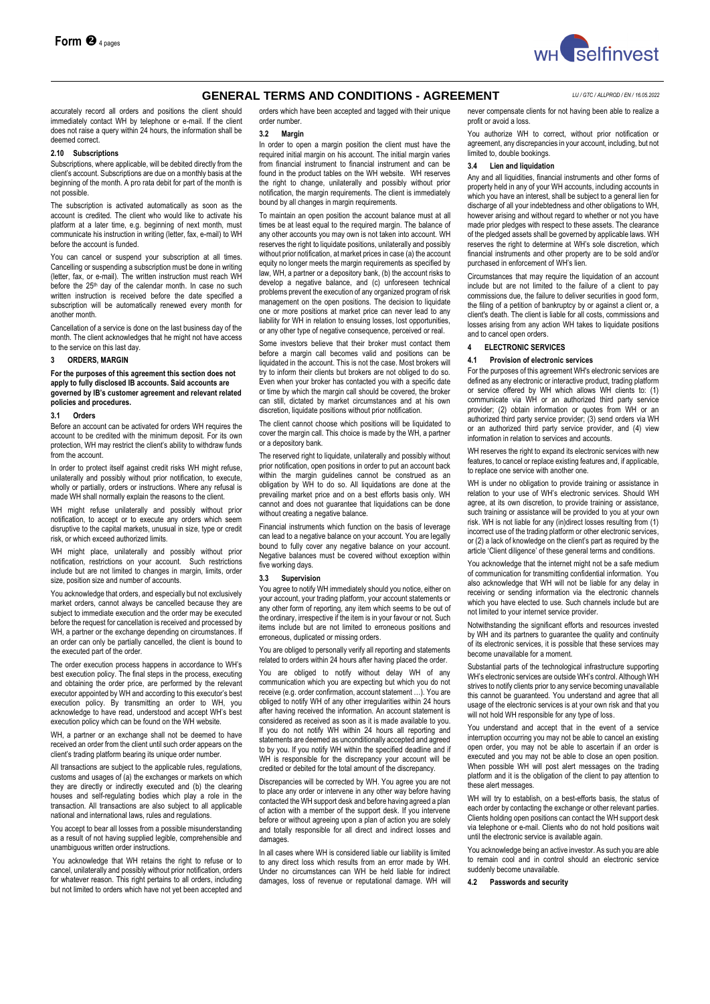

accurately record all orders and positions the client should immediately contact WH by telephone or e-mail. If the client does not raise a query within 24 hours, the information shall be deemed correct.

## **2.10 Subscriptions**

Subscriptions, where applicable, will be debited directly from the client's account. Subscriptions are due on a monthly basis at the beginning of the month. A pro rata debit for part of the month is not possible.

The subscription is activated automatically as soon as the account is credited. The client who would like to activate his platform at a later time, e.g. beginning of next month, must communicate his instruction in writing (letter, fax, e-mail) to WH before the account is funded.

You can cancel or suspend your subscription at all times. Cancelling or suspending a subscription must be done in writing (letter, fax, or e-mail). The written instruction must reach WH<br>before the 25<sup>th</sup> day of the calendar month. In case no such written instruction is received before the date specified a subscription will be automatically renewed every month for another month.

Cancellation of a service is done on the last business day of the month. The client acknowledges that he might not have access to the service on this last day.

# **3 ORDERS, MARGIN**

**For the purposes of this agreement this section does not apply to fully disclosed IB accounts. Said accounts are governed by IB's customer agreement and relevant related policies and procedures.**

#### **3.1 Orders**

Before an account can be activated for orders WH requires the account to be credited with the minimum deposit. For its own protection, WH may restrict the client's ability to withdraw funds from the account.

In order to protect itself against credit risks WH might refuse, unilaterally and possibly without prior notification, to execute, wholly or partially, orders or instructions. Where any refusal is made WH shall normally explain the reasons to the client.

WH might refuse unilaterally and possibly without prior notification, to accept or to execute any orders which seem disruptive to the capital markets, unusual in size, type or credit risk, or which exceed authorized limits.

WH might place, unilaterally and possibly without prior notification, restrictions on your account. Such restrictions include but are not limited to changes in margin, limits, order size, position size and number of accounts.

You acknowledge that orders, and especially but not exclusively market orders, cannot always be cancelled because they are subject to immediate execution and the order may be executed before the request for cancellation is received and processed by WH, a partner or the exchange depending on circumstances. If an order can only be partially cancelled, the client is bound to the executed part of the order.

The order execution process happens in accordance to WH's best execution policy. The final steps in the process, executing and obtaining the order price, are performed by the relevant executor appointed by WH and according to this executor's best execution policy. By transmitting an order to WH, you acknowledge to have read, understood and accept WH's best execution policy which can be found on the WH website.

WH, a partner or an exchange shall not be deemed to have received an order from the client until such order appears on the client's trading platform bearing its unique order number.

All transactions are subject to the applicable rules, regulations, customs and usages of (a) the exchanges or markets on which they are directly or indirectly executed and (b) the clearing houses and self-regulating bodies which play a role in the transaction. All transactions are also subject to all applicable national and international laws, rules and regulations.

You accept to bear all losses from a possible misunderstanding as a result of not having supplied legible, comprehensible and unambiguous written order instructions.

You acknowledge that WH retains the right to refuse or to cancel, unilaterally and possibly without prior notification, orders for whatever reason. This right pertains to all orders, including but not limited to orders which have not yet been accepted and orders which have been accepted and tagged with their unique order number.

# **3.2 Margin**

In order to open a margin position the client must have the required initial margin on his account. The initial margin varies from financial instrument to financial instrument and can be found in the product tables on the WH website. WH reserves the right to change, unilaterally and possibly without prior notification, the margin requirements. The client is immediately bound by all changes in margin requirements.

To maintain an open position the account balance must at all times be at least equal to the required margin. The balance of any other accounts you may own is not taken into account. WH reserves the right to liquidate positions, unilaterally and possibly without prior notification, at market prices in case (a) the account equity no longer meets the margin requirements as specified by law, WH, a partner or a depository bank, (b) the account risks to develop a negative balance, and (c) unforeseen technical problems prevent the execution of any organized program of risk management on the open positions. The decision to liquidate one or more positions at market price can never lead to any liability for WH in relation to ensuing losses, lost opportunities, or any other type of negative consequence, perceived or real.

Some investors believe that their broker must contact them before a margin call becomes valid and positions can be liquidated in the account. This is not the case. Most brokers will try to inform their clients but brokers are not obliged to do so. Even when your broker has contacted you with a specific date or time by which the margin call should be covered, the broker can still, dictated by market circumstances and at his own discretion, liquidate positions without prior notification.

The client cannot choose which positions will be liquidated to cover the margin call. This choice is made by the WH, a partner or a depository bank.

The reserved right to liquidate, unilaterally and possibly without prior notification, open positions in order to put an account back within the margin guidelines cannot be construed as an obligation by WH to do so. All liquidations are done at the prevailing market price and on a best efforts basis only. WH cannot and does not guarantee that liquidations can be done without creating a negative balance.

Financial instruments which function on the basis of leverage can lead to a negative balance on your account. You are legally bound to fully cover any negative balance on your account. Negative balances must be covered without exception within five working days.

## **3.3 Supervision**

You agree to notify WH immediately should you notice, either on your account, your trading platform, your account statements or any other form of reporting, any item which seems to be out of the ordinary, irrespective if the item is in your favour or not. Such items include but are not limited to erroneous positions and erroneous, duplicated or missing orders.

You are obliged to personally verify all reporting and statements related to orders within 24 hours after having placed the order.

You are obliged to notify without delay WH of any communication which you are expecting but which you do not receive (e.g. order confirmation, account statement …). You are obliged to notify WH of any other irregularities within 24 hours after having received the information. An account statement is considered as received as soon as it is made available to you. If you do not notify WH within 24 hours all reporting and statements are deemed as unconditionally accepted and agreed to by you. If you notify WH within the specified deadline and if WH is responsible for the discrepancy your account will be credited or debited for the total amount of the discrepancy.

Discrepancies will be corrected by WH. You agree you are not to place any order or intervene in any other way before having contacted the WH support desk and before having agreed a plan of action with a member of the support desk. If you intervene before or without agreeing upon a plan of action you are solely and totally responsible for all direct and indirect losses and damages.

In all cases where WH is considered liable our liability is limited to any direct loss which results from an error made by WH. Under no circumstances can WH be held liable for indirect damages, loss of revenue or reputational damage. WH will

never compensate clients for not having been able to realize a profit or avoid a loss.

You authorize WH to correct, without prior notification or agreement, any discrepancies in your account, including, but not limited to, double bookings.

#### **3.4 Lien and liquidation**

Any and all liquidities, financial instruments and other forms of property held in any of your WH accounts, including accounts in which you have an interest, shall be subject to a general lien for discharge of all your indebtedness and other obligations to WH, however arising and without regard to whether or not you have made prior pledges with respect to these assets. The clearance of the pledged assets shall be governed by applicable laws. WH reserves the right to determine at WH's sole discretion, which financial instruments and other property are to be sold and/or purchased in enforcement of WH's lien.

Circumstances that may require the liquidation of an account include but are not limited to the failure of a client to pay commissions due, the failure to deliver securities in good form, the filing of a petition of bankruptcy by or against a client or, a client's death. The client is liable for all costs, commissions and losses arising from any action WH takes to liquidate positions and to cancel open orders.

**4 ELECTRONIC SERVICES**

## **4.1 Provision of electronic services**

For the purposes of this agreement WH's electronic services are defined as any electronic or interactive product, trading platform or service offered by WH which allows WH clients to: (1) communicate via WH or an authorized third party service provider; (2) obtain information or quotes from WH or an authorized third party service provider; (3) send orders via WH or an authorized third party service provider, and (4) view information in relation to services and accounts.

WH reserves the right to expand its electronic services with new features, to cancel or replace existing features and, if applicable, to replace one service with another one.

WH is under no obligation to provide training or assistance in relation to your use of WH's electronic services. Should WH agree, at its own discretion, to provide training or assistance. such training or assistance will be provided to you at your own risk. WH is not liable for any (in)direct losses resulting from (1) incorrect use of the trading platform or other electronic services, or (2) a lack of knowledge on the client's part as required by the article 'Client diligence' of these general terms and conditions.

You acknowledge that the internet might not be a safe medium of communication for transmitting confidential information. You also acknowledge that WH will not be liable for any delay in receiving or sending information via the electronic channels which you have elected to use. Such channels include but are not limited to your internet service provider.

Notwithstanding the significant efforts and resources invested by WH and its partners to guarantee the quality and continuity of its electronic services, it is possible that these services may become unavailable for a moment.

Substantial parts of the technological infrastructure supporting WH's electronic services are outside WH's control. Although WH strives to notify clients prior to any service becoming unavailable this cannot be guaranteed. You understand and agree that all usage of the electronic services is at your own risk and that you will not hold WH responsible for any type of loss.

You understand and accept that in the event of a service interruption occurring you may not be able to cancel an existing open order, you may not be able to ascertain if an order is executed and you may not be able to close an open position. When possible WH will post alert messages on the trading platform and it is the obligation of the client to pay attention to these alert messages.

WH will trv to establish, on a best-efforts basis, the status of each order by contacting the exchange or other relevant parties. Clients holding open positions can contact the WH support desk via telephone or e-mail. Clients who do not hold positions wait until the electronic service is available again.

You acknowledge being an active investor. As such you are able to remain cool and in control should an electronic service suddenly become unavailable.

**4.2 Passwords and security**